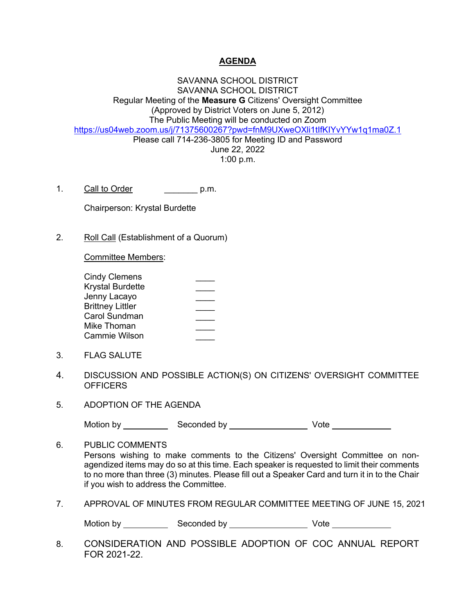## **AGENDA**

SAVANNA SCHOOL DISTRICT SAVANNA SCHOOL DISTRICT Regular Meeting of the **Measure G** Citizens' Oversight Committee (Approved by District Voters on June 5, 2012) The Public Meeting will be conducted on Zoom https://us04web.zoom.us/j/71375600267?pwd=fnM9UXweOXli1tIfKIYvYYw1q1ma0Z.1 Please call 714-236-3805 for Meeting ID and Password June 22, 2022 1:00 p.m.

1. Call to Order **call of Call to Order** call p.m.

Chairperson: Krystal Burdette

2. Roll Call (Establishment of a Quorum)

Committee Members:

| Cindy Clemens           |  |
|-------------------------|--|
| Krystal Burdette        |  |
| Jenny Lacayo            |  |
| <b>Brittney Littler</b> |  |
| Carol Sundman           |  |
| Mike Thoman             |  |
| Cammie Wilson           |  |
|                         |  |

- 3. FLAG SALUTE
- 4. DISCUSSION AND POSSIBLE ACTION(S) ON CITIZENS' OVERSIGHT COMMITTEE **OFFICERS**
- 5. ADOPTION OF THE AGENDA

Motion by Seconded by Vote

6. PUBLIC COMMENTS Persons wishing to make comments to the Citizens' Oversight Committee on nonagendized items may do so at this time. Each speaker is requested to limit their comments to no more than three (3) minutes. Please fill out a Speaker Card and turn it in to the Chair if you wish to address the Committee.

7. APPROVAL OF MINUTES FROM REGULAR COMMITTEE MEETING OF JUNE 15, 2021

Motion by Seconded by Vote

8. CONSIDERATION AND POSSIBLE ADOPTION OF COC ANNUAL REPORT FOR 2021-22.